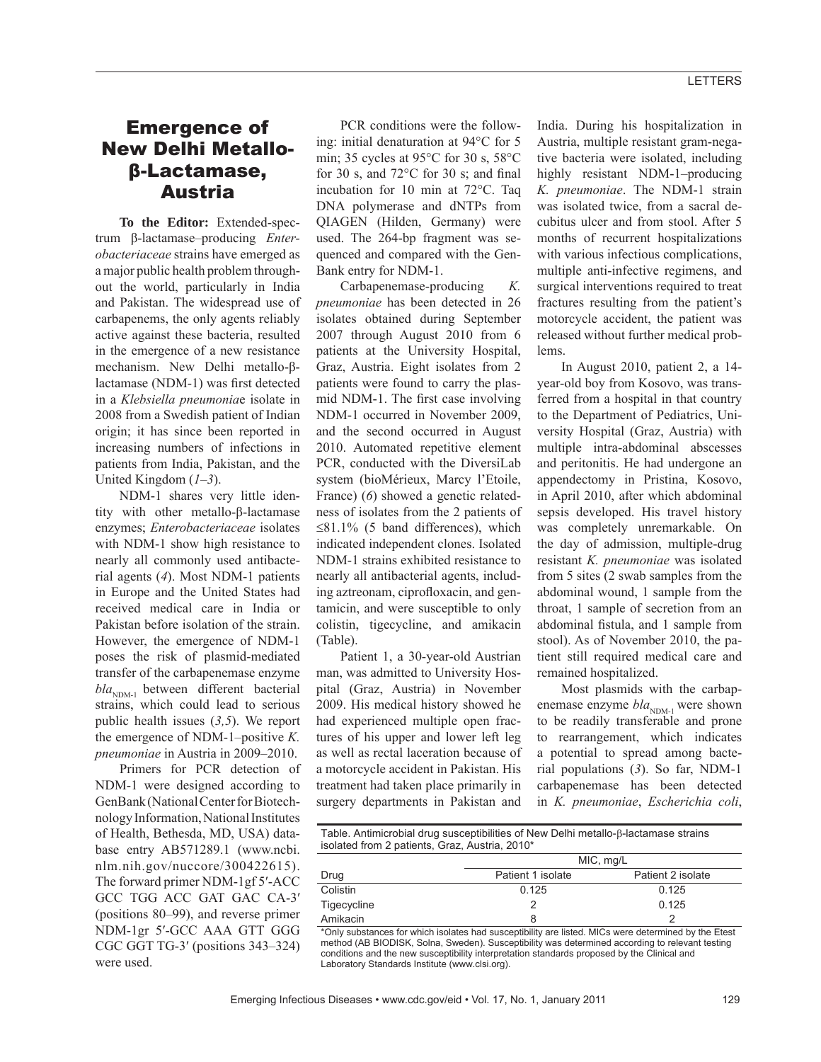## Emergence of New Delhi Metalloβ-Lactamase, Austria

**To the Editor:** Extended-spectrum β-lactamase–producing *Enterobacteriaceae* strains have emerged as a major public health problem throughout the world, particularly in India and Pakistan. The widespread use of carbapenems, the only agents reliably active against these bacteria, resulted in the emergence of a new resistance mechanism. New Delhi metallo-βlactamase (NDM-1) was first detected in a *Klebsiella pneumonia*e isolate in 2008 from a Swedish patient of Indian origin; it has since been reported in increasing numbers of infections in patients from India, Pakistan, and the United Kingdom (*1*–*3*).

NDM-1 shares very little identity with other metallo-β-lactamase enzymes; *Enterobacteriaceae* isolates with NDM-1 show high resistance to nearly all commonly used antibacterial agents (*4*). Most NDM-1 patients in Europe and the United States had received medical care in India or Pakistan before isolation of the strain. However, the emergence of NDM-1 poses the risk of plasmid-mediated transfer of the carbapenemase enzyme  $bla_{NDM-1}$  between different bacterial strains, which could lead to serious public health issues (*3,5*). We report the emergence of NDM-1–positive *K. pneumoniae* in Austria in 2009–2010.

Primers for PCR detection of NDM-1 were designed according to GenBank (National Center for Biotechnology Information, National Institutes of Health, Bethesda, MD, USA) database entry AB571289.1 (www.ncbi. nlm.nih.gov/nuccore/300422615). The forward primer NDM-1gf 5′-ACC GCC TGG ACC GAT GAC CA-3′ (positions 80–99), and reverse primer NDM-1gr 5′-GCC AAA GTT GGG CGC GGT TG-3′ (positions 343–324) were used.

PCR conditions were the following: initial denaturation at 94°C for 5 min; 35 cycles at 95°C for 30 s, 58°C for 30 s, and  $72^{\circ}$ C for 30 s; and final incubation for 10 min at 72°C. Taq DNA polymerase and dNTPs from QIAGEN (Hilden, Germany) were used. The 264-bp fragment was sequenced and compared with the Gen-Bank entry for NDM-1.

Carbapenemase-producing *K. pneumoniae* has been detected in 26 isolates obtained during September 2007 through August 2010 from 6 patients at the University Hospital, Graz, Austria. Eight isolates from 2 patients were found to carry the plasmid NDM-1. The first case involving NDM-1 occurred in November 2009, and the second occurred in August 2010. Automated repetitive element PCR, conducted with the DiversiLab system (bioMérieux, Marcy l'Etoile, France) (*6*) showed a genetic relatedness of isolates from the 2 patients of  $\leq$ 81.1% (5 band differences), which indicated independent clones. Isolated NDM-1 strains exhibited resistance to nearly all antibacterial agents, including aztreonam, ciprofloxacin, and gentamicin, and were susceptible to only colistin, tigecycline, and amikacin (Table).

Patient 1, a 30-year-old Austrian man, was admitted to University Hospital (Graz, Austria) in November 2009. His medical history showed he had experienced multiple open fractures of his upper and lower left leg as well as rectal laceration because of a motorcycle accident in Pakistan. His treatment had taken place primarily in surgery departments in Pakistan and

India. During his hospitalization in Austria, multiple resistant gram-negative bacteria were isolated, including highly resistant NDM-1–producing *K. pneumoniae*. The NDM-1 strain was isolated twice, from a sacral decubitus ulcer and from stool. After 5 months of recurrent hospitalizations with various infectious complications, multiple anti-infective regimens, and surgical interventions required to treat fractures resulting from the patient's motorcycle accident, the patient was released without further medical problems.

In August 2010, patient 2, a 14 year-old boy from Kosovo, was transferred from a hospital in that country to the Department of Pediatrics, University Hospital (Graz, Austria) with multiple intra-abdominal abscesses and peritonitis. He had undergone an appendectomy in Pristina, Kosovo, in April 2010, after which abdominal sepsis developed. His travel history was completely unremarkable. On the day of admission, multiple-drug resistant *K. pneumoniae* was isolated from 5 sites (2 swab samples from the abdominal wound, 1 sample from the throat, 1 sample of secretion from an abdominal fistula, and 1 sample from stool). As of November 2010, the patient still required medical care and remained hospitalized.

Most plasmids with the carbapenemase enzyme  $bla_{NDM-1}$  were shown to be readily transferable and prone to rearrangement, which indicates a potential to spread among bacterial populations (*3*). So far, NDM-1 carbapenemase has been detected in *K. pneumoniae*, *Escherichia coli*,

Table. Antimicrobial drug susceptibilities of New Delhi metallo-ß-lactamase strains isolated from 2 patients, Graz, Austria, 2010\*

|             | MIC, mg/L         |                   |
|-------------|-------------------|-------------------|
| Drug        | Patient 1 isolate | Patient 2 isolate |
| Colistin    | 0.125             | 0.125             |
| Tigecycline |                   | 0.125             |
| Amikacin    | 8                 | ົ                 |

\*Only substances for which isolates had susceptibility are listed. MICs were determined by the Etest method (AB BIODISK, Solna, Sweden). Susceptibility was determined according to relevant testing conditions and the new susceptibility interpretation standards proposed by the Clinical and Laboratory Standards Institute (www.clsi.org).